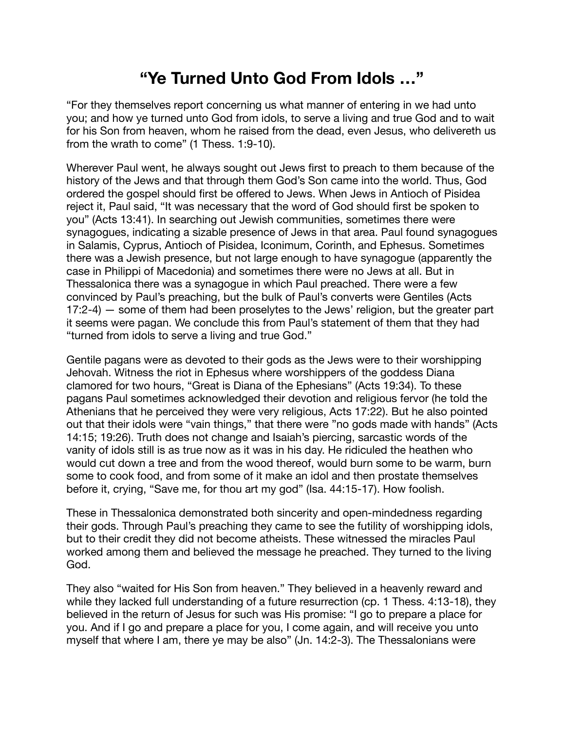## **"Ye Turned Unto God From Idols …"**

"For they themselves report concerning us what manner of entering in we had unto you; and how ye turned unto God from idols, to serve a living and true God and to wait for his Son from heaven, whom he raised from the dead, even Jesus, who delivereth us from the wrath to come" (1 Thess. 1:9-10).

Wherever Paul went, he always sought out Jews first to preach to them because of the history of the Jews and that through them God's Son came into the world. Thus, God ordered the gospel should first be offered to Jews. When Jews in Antioch of Pisidea reject it, Paul said, "It was necessary that the word of God should first be spoken to you" (Acts 13:41). In searching out Jewish communities, sometimes there were synagogues, indicating a sizable presence of Jews in that area. Paul found synagogues in Salamis, Cyprus, Antioch of Pisidea, Iconimum, Corinth, and Ephesus. Sometimes there was a Jewish presence, but not large enough to have synagogue (apparently the case in Philippi of Macedonia) and sometimes there were no Jews at all. But in Thessalonica there was a synagogue in which Paul preached. There were a few convinced by Paul's preaching, but the bulk of Paul's converts were Gentiles (Acts 17:2-4) — some of them had been proselytes to the Jews' religion, but the greater part it seems were pagan. We conclude this from Paul's statement of them that they had "turned from idols to serve a living and true God."

Gentile pagans were as devoted to their gods as the Jews were to their worshipping Jehovah. Witness the riot in Ephesus where worshippers of the goddess Diana clamored for two hours, "Great is Diana of the Ephesians" (Acts 19:34). To these pagans Paul sometimes acknowledged their devotion and religious fervor (he told the Athenians that he perceived they were very religious, Acts 17:22). But he also pointed out that their idols were "vain things," that there were "no gods made with hands" (Acts 14:15; 19:26). Truth does not change and Isaiah's piercing, sarcastic words of the vanity of idols still is as true now as it was in his day. He ridiculed the heathen who would cut down a tree and from the wood thereof, would burn some to be warm, burn some to cook food, and from some of it make an idol and then prostate themselves before it, crying, "Save me, for thou art my god" (Isa. 44:15-17). How foolish.

These in Thessalonica demonstrated both sincerity and open-mindedness regarding their gods. Through Paul's preaching they came to see the futility of worshipping idols, but to their credit they did not become atheists. These witnessed the miracles Paul worked among them and believed the message he preached. They turned to the living God.

They also "waited for His Son from heaven." They believed in a heavenly reward and while they lacked full understanding of a future resurrection (cp. 1 Thess. 4:13-18), they believed in the return of Jesus for such was His promise: "I go to prepare a place for you. And if I go and prepare a place for you, I come again, and will receive you unto myself that where I am, there ye may be also" (Jn. 14:2-3). The Thessalonians were